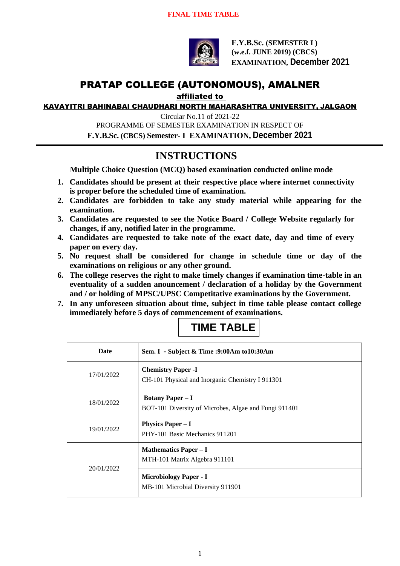

**F.Y.B.Sc. (SEMESTER I ) (w.e.f. JUNE 2019) (CBCS) EXAMINATION, December 2021**

# PRATAP COLLEGE (AUTONOMOUS), AMALNER

affiliated to

KAVAYITRI BAHINABAI CHAUDHARI NORTH MAHARASHTRA UNIVERSITY, JALGAON

Circular No.11 of 2021-22 PROGRAMME OF SEMESTER EXAMINATION IN RESPECT OF **F.Y.B.Sc. (CBCS) Semester- I EXAMINATION, December 2021**

### **INSTRUCTIONS**

**Multiple Choice Question (MCQ) based examination conducted online mode**

- **1. Candidates should be present at their respective place where internet connectivity is proper before the scheduled time of examination.**
- **2. Candidates are forbidden to take any study material while appearing for the examination.**
- **3. Candidates are requested to see the Notice Board / College Website regularly for changes, if any, notified later in the programme.**
- **4. Candidates are requested to take note of the exact date, day and time of every paper on every day.**
- **5. No request shall be considered for change in schedule time or day of the examinations on religious or any other ground.**
- **6. The college reserves the right to make timely changes if examination time-table in an eventuality of a sudden anouncement / declaration of a holiday by the Government and / or holding of MPSC/UPSC Competitative examinations by the Government.**
- **7. In any unforeseen situation about time, subject in time table please contact college immediately before 5 days of commencement of examinations.**

## **TIME TABLE**

| Date       | Sem. I - Subject & Time : 9:00Am to 10:30Am                                      |
|------------|----------------------------------------------------------------------------------|
| 17/01/2022 | <b>Chemistry Paper -I</b><br>CH-101 Physical and Inorganic Chemistry I 911301    |
| 18/01/2022 | <b>Botany Paper – I</b><br>BOT-101 Diversity of Microbes, Algae and Fungi 911401 |
| 19/01/2022 | <b>Physics Paper – I</b><br>PHY-101 Basic Mechanics 911201                       |
| 20/01/2022 | <b>Mathematics Paper – I</b><br>MTH-101 Matrix Algebra 911101                    |
|            | <b>Microbiology Paper - I</b><br>MB-101 Microbial Diversity 911901               |